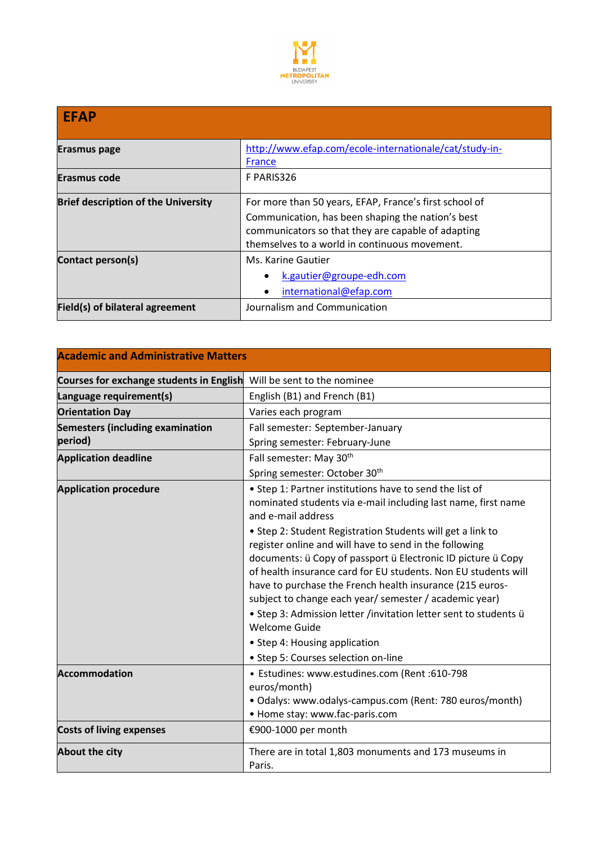

| <b>EFAP</b>                                |                                                                                                                                                                                                                    |  |
|--------------------------------------------|--------------------------------------------------------------------------------------------------------------------------------------------------------------------------------------------------------------------|--|
| Erasmus page                               | http://www.efap.com/ecole-internationale/cat/study-in-<br>France                                                                                                                                                   |  |
| <b>Erasmus code</b>                        | F PARIS326                                                                                                                                                                                                         |  |
| <b>Brief description of the University</b> | For more than 50 years, EFAP, France's first school of<br>Communication, has been shaping the nation's best<br>communicators so that they are capable of adapting<br>themselves to a world in continuous movement. |  |
| Contact person(s)                          | Ms. Karine Gautier<br>k.gautier@groupe-edh.com<br>international@efap.com                                                                                                                                           |  |
| Field(s) of bilateral agreement            | Journalism and Communication                                                                                                                                                                                       |  |

| <b>Academic and Administrative Matters</b> |                                                                                                                                                                                                                                                                                                                                                                                                                                                                   |  |
|--------------------------------------------|-------------------------------------------------------------------------------------------------------------------------------------------------------------------------------------------------------------------------------------------------------------------------------------------------------------------------------------------------------------------------------------------------------------------------------------------------------------------|--|
| Courses for exchange students in English   | Will be sent to the nominee                                                                                                                                                                                                                                                                                                                                                                                                                                       |  |
| Language requirement(s)                    | English (B1) and French (B1)                                                                                                                                                                                                                                                                                                                                                                                                                                      |  |
| <b>Orientation Day</b>                     | Varies each program                                                                                                                                                                                                                                                                                                                                                                                                                                               |  |
| <b>Semesters (including examination</b>    | Fall semester: September-January                                                                                                                                                                                                                                                                                                                                                                                                                                  |  |
| period)                                    | Spring semester: February-June                                                                                                                                                                                                                                                                                                                                                                                                                                    |  |
| <b>Application deadline</b>                | Fall semester: May 30th                                                                                                                                                                                                                                                                                                                                                                                                                                           |  |
|                                            | Spring semester: October 30 <sup>th</sup>                                                                                                                                                                                                                                                                                                                                                                                                                         |  |
| <b>Application procedure</b>               | • Step 1: Partner institutions have to send the list of<br>nominated students via e-mail including last name, first name<br>and e-mail address                                                                                                                                                                                                                                                                                                                    |  |
|                                            | • Step 2: Student Registration Students will get a link to<br>register online and will have to send in the following<br>documents: ü Copy of passport ü Electronic ID picture ü Copy<br>of health insurance card for EU students. Non EU students will<br>have to purchase the French health insurance (215 euros-<br>subject to change each year/ semester / academic year)<br>• Step 3: Admission letter /invitation letter sent to students ü<br>Welcome Guide |  |
|                                            | • Step 4: Housing application                                                                                                                                                                                                                                                                                                                                                                                                                                     |  |
|                                            | • Step 5: Courses selection on-line                                                                                                                                                                                                                                                                                                                                                                                                                               |  |
| <b>Accommodation</b>                       | • Estudines: www.estudines.com (Rent :610-798<br>euros/month)<br>· Odalys: www.odalys-campus.com (Rent: 780 euros/month)<br>• Home stay: www.fac-paris.com                                                                                                                                                                                                                                                                                                        |  |
| <b>Costs of living expenses</b>            | €900-1000 per month                                                                                                                                                                                                                                                                                                                                                                                                                                               |  |
| <b>About the city</b>                      | There are in total 1,803 monuments and 173 museums in<br>Paris.                                                                                                                                                                                                                                                                                                                                                                                                   |  |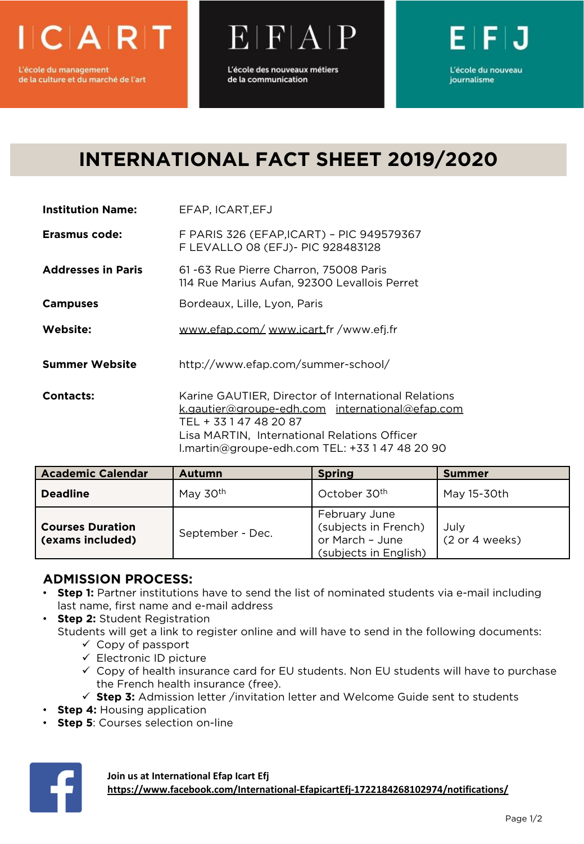

de la culture et du marché de l'art

L'école des nouveaux métiers de la communication

 $E[H|A]$ 



## **INTERNATIONAL FACT SHEET 2019/2020**

| <b>Institution Name:</b> | EFAP, ICART, EFJ |
|--------------------------|------------------|
|--------------------------|------------------|

**Erasmus code:** F PARIS 326 (EFAP,ICART) – PIC 949579367 F LEVALLO 08 (EFJ)- PIC 928483128

- **Addresses in Paris** 61 -63 Rue Pierre Charron, 75008 Paris 114 Rue Marius Aufan, 92300 Levallois Perret
- **Campuses** Bordeaux, Lille, Lyon, Paris
- **Website:** [www.efap.com/](http://www.efap.com/) [www.icart.f](http://www.icart.com/)r /www.efj.fr

**Summer Website** http://www.efap.com/summer-school/

**Contacts:** Karine GAUTIER, Director of International Relations [k.gautier@groupe-edh.com](mailto:k.gautier@groupe-edh.com) [international@efap.com](mailto:international@efap.com) TEL + 33 1 47 48 20 87 Lisa MARTIN, International Relations Officer l.martin@groupe-edh.com TEL: +33 1 47 48 20 90

| <b>Academic Calendar</b>                    | <b>Autumn</b>    | <b>Spring</b>                                                                     | <b>Summer</b>          |
|---------------------------------------------|------------------|-----------------------------------------------------------------------------------|------------------------|
| <b>Deadline</b>                             | May 30th         | October 30 <sup>th</sup>                                                          | May 15-30th            |
| <b>Courses Duration</b><br>(exams included) | September - Dec. | February June<br>(subjects in French)<br>or March - June<br>(subjects in English) | Julv<br>(2 or 4 weeks) |

## **ADMISSION PROCESS:**

- **Step 1:** Partner institutions have to send the list of nominated students via e-mail including last name, first name and e-mail address
- **Step 2: Student Registration** Students will get a link to register online and will have to send in the following documents:
	- $\checkmark$  Copy of passport
	- $\checkmark$  Electronic ID picture
	- $\checkmark$  Copy of health insurance card for EU students. Non EU students will have to purchase the French health insurance (free).
	- $\checkmark$  **Step 3:** Admission letter /invitation letter and Welcome Guide sent to students
- **Step 4:** Housing application
- **Step 5: Courses selection on-line**